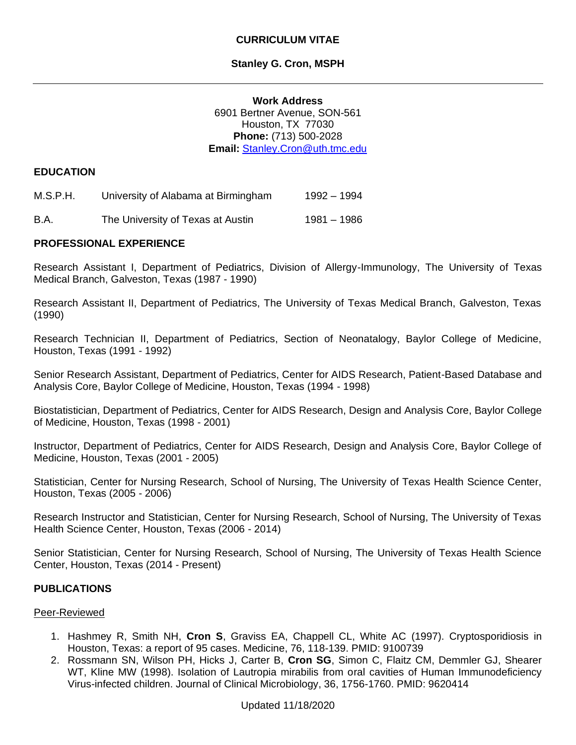# **Stanley G. Cron, MSPH**

**Work Address** 6901 Bertner Avenue, SON-561 Houston, TX 77030 **Phone:** (713) 500-2028 **Email:** [Stanley.Cron@uth.tmc.edu](mailto:Stanley.Cron@uth.tmc.edu)

# **EDUCATION**

| M.S.P.H. | University of Alabama at Birmingham | 1992 – 1994 |
|----------|-------------------------------------|-------------|
| B.A.     | The University of Texas at Austin   | 1981 – 1986 |

# **PROFESSIONAL EXPERIENCE**

Research Assistant I, Department of Pediatrics, Division of Allergy-Immunology, The University of Texas Medical Branch, Galveston, Texas (1987 - 1990)

Research Assistant II, Department of Pediatrics, The University of Texas Medical Branch, Galveston, Texas (1990)

Research Technician II, Department of Pediatrics, Section of Neonatalogy, Baylor College of Medicine, Houston, Texas (1991 - 1992)

Senior Research Assistant, Department of Pediatrics, Center for AIDS Research, Patient-Based Database and Analysis Core, Baylor College of Medicine, Houston, Texas (1994 - 1998)

Biostatistician, Department of Pediatrics, Center for AIDS Research, Design and Analysis Core, Baylor College of Medicine, Houston, Texas (1998 - 2001)

Instructor, Department of Pediatrics, Center for AIDS Research, Design and Analysis Core, Baylor College of Medicine, Houston, Texas (2001 - 2005)

Statistician, Center for Nursing Research, School of Nursing, The University of Texas Health Science Center, Houston, Texas (2005 - 2006)

Research Instructor and Statistician, Center for Nursing Research, School of Nursing, The University of Texas Health Science Center, Houston, Texas (2006 - 2014)

Senior Statistician, Center for Nursing Research, School of Nursing, The University of Texas Health Science Center, Houston, Texas (2014 - Present)

#### **PUBLICATIONS**

#### Peer-Reviewed

- 1. Hashmey R, Smith NH, **Cron S**, Graviss EA, Chappell CL, White AC (1997). Cryptosporidiosis in Houston, Texas: a report of 95 cases. Medicine, 76, 118-139. PMID: 9100739
- 2. Rossmann SN, Wilson PH, Hicks J, Carter B, **Cron SG**, Simon C, Flaitz CM, Demmler GJ, Shearer WT, Kline MW (1998). Isolation of Lautropia mirabilis from oral cavities of Human Immunodeficiency Virus-infected children. Journal of Clinical Microbiology, 36, 1756-1760. PMID: 9620414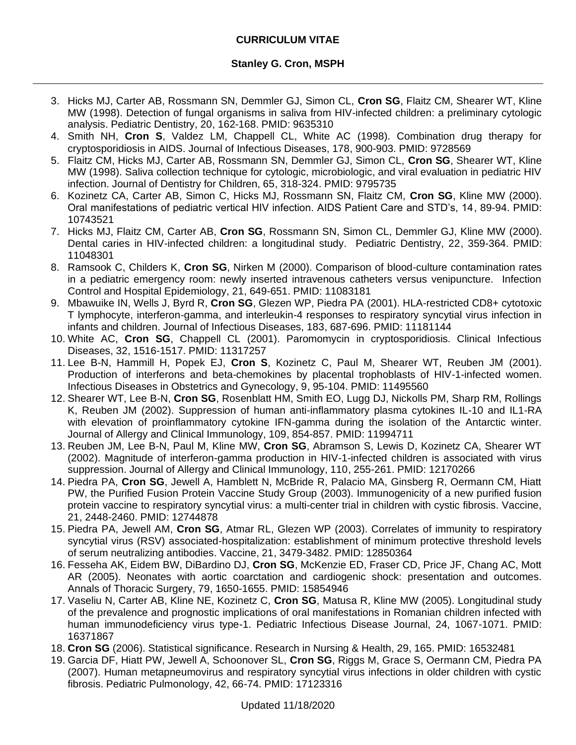- 3. Hicks MJ, Carter AB, Rossmann SN, Demmler GJ, Simon CL, **Cron SG**, Flaitz CM, Shearer WT, Kline MW (1998). Detection of fungal organisms in saliva from HIV-infected children: a preliminary cytologic analysis. Pediatric Dentistry, 20, 162-168. PMID: 9635310
- 4. Smith NH, **Cron S**, Valdez LM, Chappell CL, White AC (1998). Combination drug therapy for cryptosporidiosis in AIDS. Journal of Infectious Diseases, 178, 900-903. PMID: 9728569
- 5. Flaitz CM, Hicks MJ, Carter AB, Rossmann SN, Demmler GJ, Simon CL, **Cron SG**, Shearer WT, Kline MW (1998). Saliva collection technique for cytologic, microbiologic, and viral evaluation in pediatric HIV infection. Journal of Dentistry for Children, 65, 318-324. PMID: 9795735
- 6. Kozinetz CA, Carter AB, Simon C, Hicks MJ, Rossmann SN, Flaitz CM, **Cron SG**, Kline MW (2000). Oral manifestations of pediatric vertical HIV infection. AIDS Patient Care and STD's, 14, 89-94. PMID: 10743521
- 7. Hicks MJ, Flaitz CM, Carter AB, **Cron SG**, Rossmann SN, Simon CL, Demmler GJ, Kline MW (2000). Dental caries in HIV-infected children: a longitudinal study. Pediatric Dentistry, 22, 359-364. PMID: 11048301
- 8. Ramsook C, Childers K, **Cron SG**, Nirken M (2000). Comparison of blood-culture contamination rates in a pediatric emergency room: newly inserted intravenous catheters versus venipuncture. Infection Control and Hospital Epidemiology, 21, 649-651. PMID: 11083181
- 9. Mbawuike IN, Wells J, Byrd R, **Cron SG**, Glezen WP, Piedra PA (2001). HLA-restricted CD8+ cytotoxic T lymphocyte, interferon-gamma, and interleukin-4 responses to respiratory syncytial virus infection in infants and children. Journal of Infectious Diseases, 183, 687-696. PMID: 11181144
- 10. White AC, **Cron SG**, Chappell CL (2001). Paromomycin in cryptosporidiosis. Clinical Infectious Diseases, 32, 1516-1517. PMID: 11317257
- 11. Lee B-N, Hammill H, Popek EJ, **Cron S**, Kozinetz C, Paul M, Shearer WT, Reuben JM (2001). Production of interferons and beta-chemokines by placental trophoblasts of HIV-1-infected women. Infectious Diseases in Obstetrics and Gynecology, 9, 95-104. PMID: 11495560
- 12. Shearer WT, Lee B-N, **Cron SG**, Rosenblatt HM, Smith EO, Lugg DJ, Nickolls PM, Sharp RM, Rollings K, Reuben JM (2002). Suppression of human anti-inflammatory plasma cytokines IL-10 and IL1-RA with elevation of proinflammatory cytokine IFN-gamma during the isolation of the Antarctic winter. Journal of Allergy and Clinical Immunology, 109, 854-857. PMID: 11994711
- 13. Reuben JM, Lee B-N, Paul M, Kline MW, **Cron SG**, Abramson S, Lewis D, Kozinetz CA, Shearer WT (2002). Magnitude of interferon-gamma production in HIV-1-infected children is associated with virus suppression. Journal of Allergy and Clinical Immunology, 110, 255-261. PMID: 12170266
- 14. Piedra PA, **Cron SG**, Jewell A, Hamblett N, McBride R, Palacio MA, Ginsberg R, Oermann CM, Hiatt PW, the Purified Fusion Protein Vaccine Study Group (2003). Immunogenicity of a new purified fusion protein vaccine to respiratory syncytial virus: a multi-center trial in children with cystic fibrosis. Vaccine, 21, 2448-2460. PMID: 12744878
- 15. Piedra PA, Jewell AM, **Cron SG**, Atmar RL, Glezen WP (2003). Correlates of immunity to respiratory syncytial virus (RSV) associated-hospitalization: establishment of minimum protective threshold levels of serum neutralizing antibodies. Vaccine, 21, 3479-3482. PMID: 12850364
- 16. Fesseha AK, Eidem BW, DiBardino DJ, **Cron SG**, McKenzie ED, Fraser CD, Price JF, Chang AC, Mott AR (2005). Neonates with aortic coarctation and cardiogenic shock: presentation and outcomes. Annals of Thoracic Surgery, 79, 1650-1655. PMID: 15854946
- 17. Vaseliu N, Carter AB, Kline NE, Kozinetz C, **Cron SG**, Matusa R, Kline MW (2005). Longitudinal study of the prevalence and prognostic implications of oral manifestations in Romanian children infected with human immunodeficiency virus type-1. Pediatric Infectious Disease Journal, 24, 1067-1071. PMID: 16371867
- 18. **Cron SG** (2006). Statistical significance. Research in Nursing & Health, 29, 165. PMID: 16532481
- 19. Garcia DF, Hiatt PW, Jewell A, Schoonover SL, **Cron SG**, Riggs M, Grace S, Oermann CM, Piedra PA (2007). Human metapneumovirus and respiratory syncytial virus infections in older children with cystic fibrosis. Pediatric Pulmonology, 42, 66-74. PMID: 17123316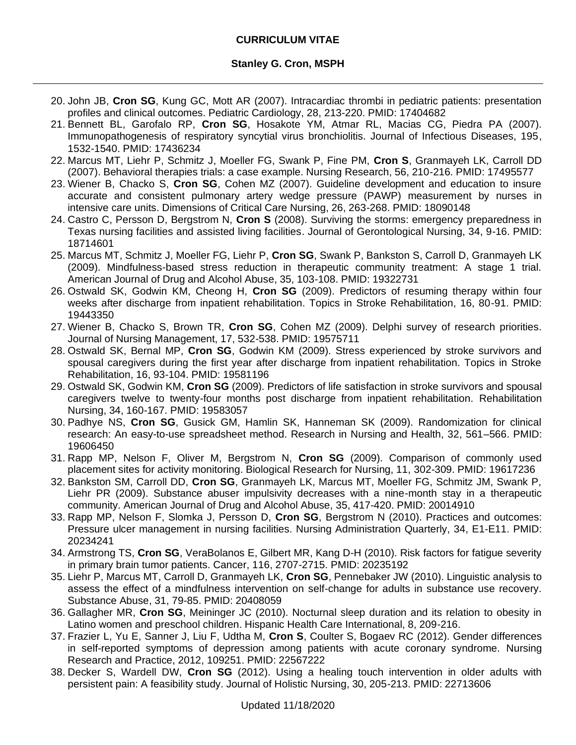- 20. John JB, **Cron SG**, Kung GC, Mott AR (2007). Intracardiac thrombi in pediatric patients: presentation profiles and clinical outcomes. Pediatric Cardiology, 28, 213-220. PMID: 17404682
- 21. Bennett BL, Garofalo RP, **Cron SG**, Hosakote YM, Atmar RL, Macias CG, Piedra PA (2007). Immunopathogenesis of respiratory syncytial virus bronchiolitis. Journal of Infectious Diseases, 195, 1532-1540. PMID: 17436234
- 22. Marcus MT, Liehr P, Schmitz J, Moeller FG, Swank P, Fine PM, **Cron S**, Granmayeh LK, Carroll DD (2007). Behavioral therapies trials: a case example. Nursing Research, 56, 210-216. PMID: 17495577
- 23. Wiener B, Chacko S, **Cron SG**, Cohen MZ (2007). Guideline development and education to insure accurate and consistent pulmonary artery wedge pressure (PAWP) measurement by nurses in intensive care units. Dimensions of Critical Care Nursing, 26, 263-268. PMID: 18090148
- 24. Castro C, Persson D, Bergstrom N, **Cron S** (2008). Surviving the storms: emergency preparedness in Texas nursing facilities and assisted living facilities. Journal of Gerontological Nursing, 34, 9-16. PMID: 18714601
- 25. Marcus MT, Schmitz J, Moeller FG, Liehr P, **Cron SG**, Swank P, Bankston S, Carroll D, Granmayeh LK (2009). Mindfulness-based stress reduction in therapeutic community treatment: A stage 1 trial. American Journal of Drug and Alcohol Abuse, 35, 103-108. PMID: 19322731
- 26. Ostwald SK, Godwin KM, Cheong H, **Cron SG** (2009). Predictors of resuming therapy within four weeks after discharge from inpatient rehabilitation. Topics in Stroke Rehabilitation, 16, 80-91. PMID: 19443350
- 27. Wiener B, Chacko S, Brown TR, **Cron SG**, Cohen MZ (2009). Delphi survey of research priorities. Journal of Nursing Management, 17, 532-538. PMID: 19575711
- 28. Ostwald SK, Bernal MP, **Cron SG**, Godwin KM (2009). Stress experienced by stroke survivors and spousal caregivers during the first year after discharge from inpatient rehabilitation. Topics in Stroke Rehabilitation, 16, 93-104. PMID: 19581196
- 29. Ostwald SK, Godwin KM, **Cron SG** (2009). Predictors of life satisfaction in stroke survivors and spousal caregivers twelve to twenty-four months post discharge from inpatient rehabilitation. Rehabilitation Nursing, 34, 160-167. PMID: 19583057
- 30. Padhye NS, **Cron SG**, Gusick GM, Hamlin SK, Hanneman SK (2009). Randomization for clinical research: An easy-to-use spreadsheet method. Research in Nursing and Health, 32, 561–566. PMID: 19606450
- 31. Rapp MP, Nelson F, Oliver M, Bergstrom N, **Cron SG** (2009). Comparison of commonly used placement sites for activity monitoring. Biological Research for Nursing, 11, 302-309. PMID: 19617236
- 32. Bankston SM, Carroll DD, **Cron SG**, Granmayeh LK, Marcus MT, Moeller FG, Schmitz JM, Swank P, Liehr PR (2009). Substance abuser impulsivity decreases with a nine-month stay in a therapeutic community. American Journal of Drug and Alcohol Abuse, 35, 417-420. PMID: 20014910
- 33. Rapp MP, Nelson F, Slomka J, Persson D, **Cron SG**, Bergstrom N (2010). Practices and outcomes: Pressure ulcer management in nursing facilities. Nursing Administration Quarterly, 34, E1-E11. PMID: 20234241
- 34. Armstrong TS, **Cron SG**, VeraBolanos E, Gilbert MR, Kang D-H (2010). Risk factors for fatigue severity in primary brain tumor patients. Cancer, 116, 2707-2715. PMID: 20235192
- 35. Liehr P, Marcus MT, Carroll D, Granmayeh LK, **Cron SG**, Pennebaker JW (2010). Linguistic analysis to assess the effect of a mindfulness intervention on self-change for adults in substance use recovery. Substance Abuse, 31, 79-85. PMID: 20408059
- 36. Gallagher MR, **Cron SG**, Meininger JC (2010). Nocturnal sleep duration and its relation to obesity in Latino women and preschool children. Hispanic Health Care International, 8, 209-216.
- 37. Frazier L, Yu E, Sanner J, Liu F, Udtha M, **Cron S**, Coulter S, Bogaev RC (2012). Gender differences in self-reported symptoms of depression among patients with acute coronary syndrome. Nursing Research and Practice, 2012, 109251. PMID: 22567222
- 38. Decker S, Wardell DW, **Cron SG** (2012). Using a healing touch intervention in older adults with persistent pain: A feasibility study. Journal of Holistic Nursing, 30, 205-213. PMID: 22713606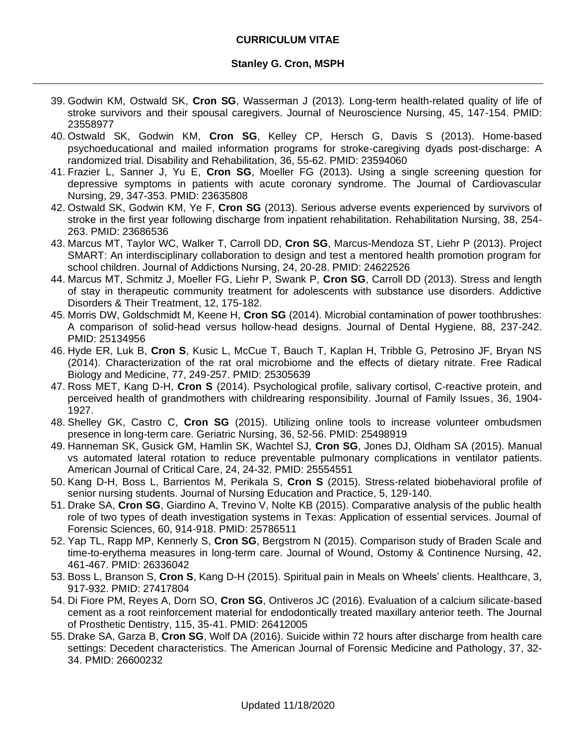- 39. Godwin KM, Ostwald SK, **Cron SG**, Wasserman J (2013). Long-term health-related quality of life of stroke survivors and their spousal caregivers. Journal of Neuroscience Nursing, 45, 147-154. PMID: 23558977
- 40. Ostwald SK, Godwin KM, **Cron SG**, Kelley CP, Hersch G, Davis S (2013). Home-based psychoeducational and mailed information programs for stroke-caregiving dyads post-discharge: A randomized trial. Disability and Rehabilitation, 36, 55-62. PMID: 23594060
- 41. Frazier L, Sanner J, Yu E, **Cron SG**, Moeller FG (2013). Using a single screening question for depressive symptoms in patients with acute coronary syndrome. The Journal of Cardiovascular Nursing, 29, 347-353. PMID: 23635808
- 42. Ostwald SK, Godwin KM, Ye F, **Cron SG** (2013). Serious adverse events experienced by survivors of stroke in the first year following discharge from inpatient rehabilitation. Rehabilitation Nursing, 38, 254- 263. PMID: 23686536
- 43. Marcus MT, Taylor WC, Walker T, Carroll DD, **Cron SG**, Marcus-Mendoza ST, Liehr P (2013). Project SMART: An interdisciplinary collaboration to design and test a mentored health promotion program for school children. Journal of Addictions Nursing, 24, 20-28. PMID: 24622526
- 44. Marcus MT, Schmitz J, Moeller FG, Liehr P, Swank P, **Cron SG**, Carroll DD (2013). Stress and length of stay in therapeutic community treatment for adolescents with substance use disorders. Addictive Disorders & Their Treatment, 12, 175-182.
- 45. Morris DW, Goldschmidt M, Keene H, **Cron SG** (2014). Microbial contamination of power toothbrushes: A comparison of solid-head versus hollow-head designs. Journal of Dental Hygiene, 88, 237-242. PMID: 25134956
- 46. Hyde ER, Luk B, **Cron S**, Kusic L, McCue T, Bauch T, Kaplan H, Tribble G, Petrosino JF, Bryan NS (2014). Characterization of the rat oral microbiome and the effects of dietary nitrate. Free Radical Biology and Medicine, 77, 249-257. PMID: 25305639
- 47. Ross MET, Kang D-H, **Cron S** (2014). Psychological profile, salivary cortisol, C-reactive protein, and perceived health of grandmothers with childrearing responsibility. Journal of Family Issues, 36, 1904- 1927.
- 48. Shelley GK, Castro C, **Cron SG** (2015). Utilizing online tools to increase volunteer ombudsmen presence in long-term care. Geriatric Nursing, 36, 52-56. PMID: 25498919
- 49. Hanneman SK, Gusick GM, Hamlin SK, Wachtel SJ, **Cron SG**, Jones DJ, Oldham SA (2015). Manual vs automated lateral rotation to reduce preventable pulmonary complications in ventilator patients. American Journal of Critical Care, 24, 24-32. PMID: 25554551
- 50. Kang D-H, Boss L, Barrientos M, Perikala S, **Cron S** (2015). Stress-related biobehavioral profile of senior nursing students. Journal of Nursing Education and Practice, 5, 129-140.
- 51. Drake SA, **Cron SG**, Giardino A, Trevino V, Nolte KB (2015). Comparative analysis of the public health role of two types of death investigation systems in Texas: Application of essential services. Journal of Forensic Sciences, 60, 914-918. PMID: 25786511
- 52. Yap TL, Rapp MP, Kennerly S, **Cron SG**, Bergstrom N (2015). Comparison study of Braden Scale and time-to-erythema measures in long-term care. Journal of Wound, Ostomy & Continence Nursing, 42, 461-467. PMID: 26336042
- 53. Boss L, Branson S, **Cron S**, Kang D-H (2015). Spiritual pain in Meals on Wheels' clients. Healthcare, 3, 917-932. PMID: 27417804
- 54. Di Fiore PM, Reyes A, Dorn SO, **Cron SG**, Ontiveros JC (2016). Evaluation of a calcium silicate-based cement as a root reinforcement material for endodontically treated maxillary anterior teeth. The Journal of Prosthetic Dentistry, 115, 35-41. PMID: 26412005
- 55. Drake SA, Garza B, **Cron SG**, Wolf DA (2016). Suicide within 72 hours after discharge from health care settings: Decedent characteristics. The American Journal of Forensic Medicine and Pathology, 37, 32- 34. PMID: 26600232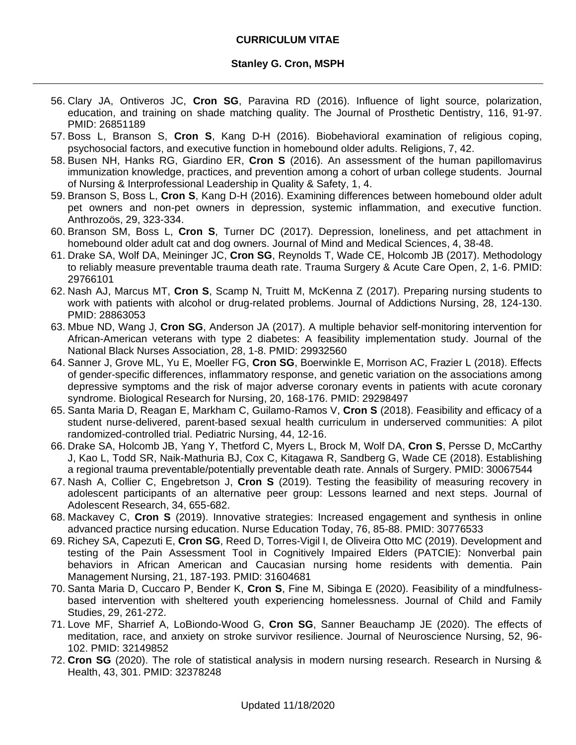- 56. Clary JA, Ontiveros JC, **Cron SG**, Paravina RD (2016). Influence of light source, polarization, education, and training on shade matching quality. The Journal of Prosthetic Dentistry, 116, 91-97. PMID: 26851189
- 57. Boss L, Branson S, **Cron S**, Kang D-H (2016). Biobehavioral examination of religious coping, psychosocial factors, and executive function in homebound older adults. Religions, 7, 42.
- 58. Busen NH, Hanks RG, Giardino ER, **Cron S** (2016). An assessment of the human papillomavirus immunization knowledge, practices, and prevention among a cohort of urban college students. Journal of Nursing & Interprofessional Leadership in Quality & Safety, 1, 4.
- 59. Branson S, Boss L, **Cron S**, Kang D-H (2016). Examining differences between homebound older adult pet owners and non-pet owners in depression, systemic inflammation, and executive function. Anthrozoös, 29, 323-334.
- 60. Branson SM, Boss L, **Cron S**, Turner DC (2017). Depression, loneliness, and pet attachment in homebound older adult cat and dog owners. Journal of Mind and Medical Sciences, 4, 38-48.
- 61. Drake SA, Wolf DA, Meininger JC, **Cron SG**, Reynolds T, Wade CE, Holcomb JB (2017). Methodology to reliably measure preventable trauma death rate. Trauma Surgery & Acute Care Open, 2, 1-6. PMID: 29766101
- 62. Nash AJ, Marcus MT, **Cron S**, Scamp N, Truitt M, McKenna Z (2017). Preparing nursing students to work with patients with alcohol or drug-related problems. Journal of Addictions Nursing, 28, 124-130. PMID: 28863053
- 63. Mbue ND, Wang J, **Cron SG**, Anderson JA (2017). A multiple behavior self-monitoring intervention for African-American veterans with type 2 diabetes: A feasibility implementation study. Journal of the National Black Nurses Association, 28, 1-8. PMID: 29932560
- 64. Sanner J, Grove ML, Yu E, Moeller FG, **Cron SG**, Boerwinkle E, Morrison AC, Frazier L (2018). Effects of gender-specific differences, inflammatory response, and genetic variation on the associations among depressive symptoms and the risk of major adverse coronary events in patients with acute coronary syndrome. Biological Research for Nursing, 20, 168-176. PMID: 29298497
- 65. Santa Maria D, Reagan E, Markham C, Guilamo-Ramos V, **Cron S** (2018). Feasibility and efficacy of a student nurse-delivered, parent-based sexual health curriculum in underserved communities: A pilot randomized-controlled trial. Pediatric Nursing, 44, 12-16.
- 66. Drake SA, Holcomb JB, Yang Y, Thetford C, Myers L, Brock M, Wolf DA, **Cron S**, Persse D, McCarthy J, Kao L, Todd SR, Naik-Mathuria BJ, Cox C, Kitagawa R, Sandberg G, Wade CE (2018). Establishing a regional trauma preventable/potentially preventable death rate. Annals of Surgery. PMID: 30067544
- 67. Nash A, Collier C, Engebretson J, **Cron S** (2019). Testing the feasibility of measuring recovery in adolescent participants of an alternative peer group: Lessons learned and next steps. Journal of Adolescent Research, 34, 655-682.
- 68. Mackavey C, **Cron S** (2019). Innovative strategies: Increased engagement and synthesis in online advanced practice nursing education. Nurse Education Today, 76, 85-88. PMID: 30776533
- 69. Richey SA, Capezuti E, **Cron SG**, Reed D, Torres-Vigil I, de Oliveira Otto MC (2019). Development and testing of the Pain Assessment Tool in Cognitively Impaired Elders (PATCIE): Nonverbal pain behaviors in African American and Caucasian nursing home residents with dementia. Pain Management Nursing, 21, 187-193. PMID: 31604681
- 70. Santa Maria D, Cuccaro P, Bender K, **Cron S**, Fine M, Sibinga E (2020). Feasibility of a mindfulnessbased intervention with sheltered youth experiencing homelessness. Journal of Child and Family Studies, 29, 261-272.
- 71. Love MF, Sharrief A, LoBiondo-Wood G, **Cron SG**, Sanner Beauchamp JE (2020). The effects of meditation, race, and anxiety on stroke survivor resilience. Journal of Neuroscience Nursing, 52, 96- 102. PMID: 32149852
- 72. **Cron SG** (2020). The role of statistical analysis in modern nursing research. Research in Nursing & Health, 43, 301. PMID: 32378248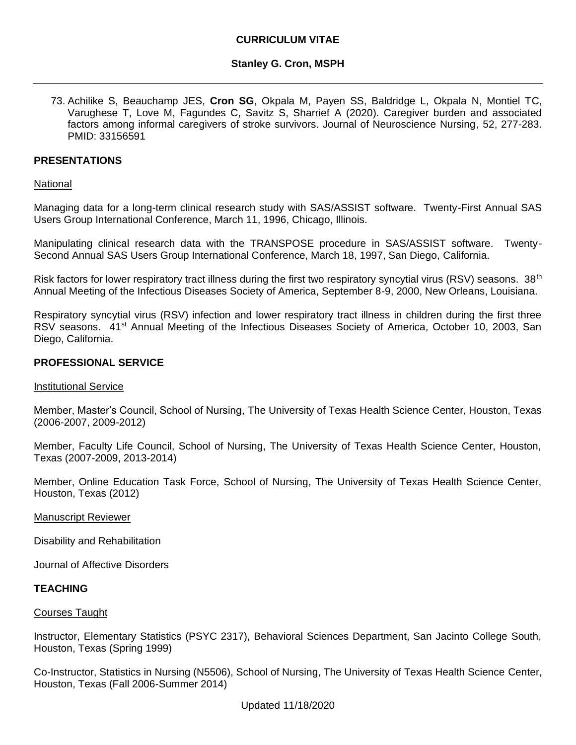### **Stanley G. Cron, MSPH**

73. Achilike S, Beauchamp JES, **Cron SG**, Okpala M, Payen SS, Baldridge L, Okpala N, Montiel TC, Varughese T, Love M, Fagundes C, Savitz S, Sharrief A (2020). Caregiver burden and associated factors among informal caregivers of stroke survivors. Journal of Neuroscience Nursing, 52, 277-283. PMID: 33156591

### **PRESENTATIONS**

#### National

Managing data for a long-term clinical research study with SAS/ASSIST software. Twenty-First Annual SAS Users Group International Conference, March 11, 1996, Chicago, Illinois.

Manipulating clinical research data with the TRANSPOSE procedure in SAS/ASSIST software. Twenty-Second Annual SAS Users Group International Conference, March 18, 1997, San Diego, California.

Risk factors for lower respiratory tract illness during the first two respiratory syncytial virus (RSV) seasons. 38<sup>th</sup> Annual Meeting of the Infectious Diseases Society of America, September 8-9, 2000, New Orleans, Louisiana.

Respiratory syncytial virus (RSV) infection and lower respiratory tract illness in children during the first three RSV seasons. 41<sup>st</sup> Annual Meeting of the Infectious Diseases Society of America, October 10, 2003, San Diego, California.

# **PROFESSIONAL SERVICE**

#### Institutional Service

Member, Master's Council, School of Nursing, The University of Texas Health Science Center, Houston, Texas (2006-2007, 2009-2012)

Member, Faculty Life Council, School of Nursing, The University of Texas Health Science Center, Houston, Texas (2007-2009, 2013-2014)

Member, Online Education Task Force, School of Nursing, The University of Texas Health Science Center, Houston, Texas (2012)

#### Manuscript Reviewer

Disability and Rehabilitation

Journal of Affective Disorders

#### **TEACHING**

#### Courses Taught

Instructor, Elementary Statistics (PSYC 2317), Behavioral Sciences Department, San Jacinto College South, Houston, Texas (Spring 1999)

Co-Instructor, Statistics in Nursing (N5506), School of Nursing, The University of Texas Health Science Center, Houston, Texas (Fall 2006-Summer 2014)